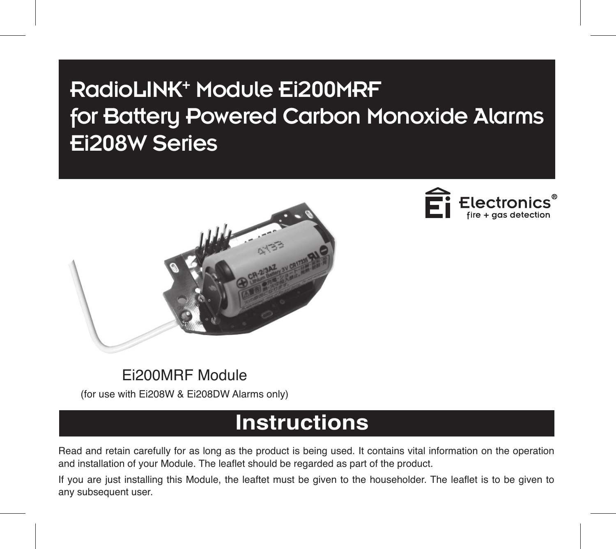# RadioLINK<sup>+</sup> Module Ei200MRF for Battery Powered Carbon Monoxide Alarms Ei208W Series





# Ei200MRF Module

(for use with Ei208W & Ei208DW Alarms only)

# **Instructions**

Read and retain carefully for as long as the product is being used. It contains vital information on the operation and installation of your Module. The leaflet should be regarded as part of the product.

If you are just installing this Module, the leaftet must be given to the householder. The leaflet is to be given to any subsequent user.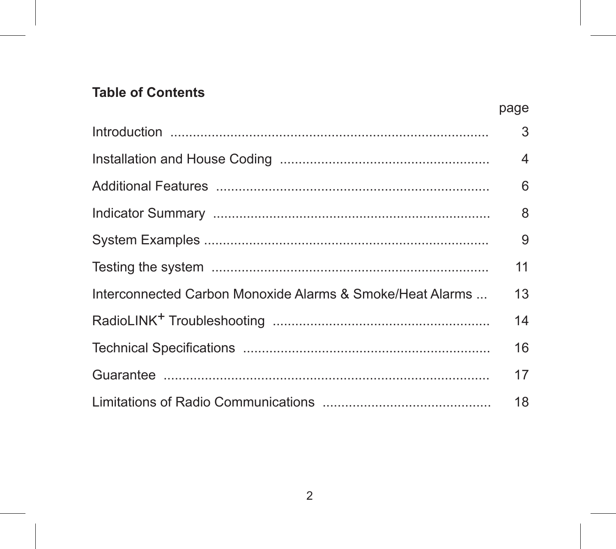# **Table of Contents**

|                                                           | page |
|-----------------------------------------------------------|------|
|                                                           | 3    |
|                                                           | 4    |
|                                                           | 6    |
|                                                           | 8    |
|                                                           | 9    |
|                                                           | 11   |
| Interconnected Carbon Monoxide Alarms & Smoke/Heat Alarms | 13   |
|                                                           | 14   |
|                                                           | 16   |
|                                                           | 17   |
|                                                           | 18   |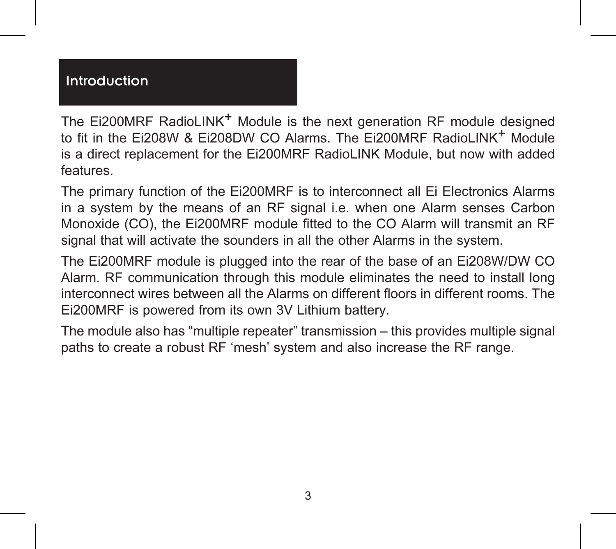# Introduction

The Ei200MRF RadioLINK<sup>+</sup> Module is the next generation RF module designed to fit in the Ei208W & Ei208DW CO Alarms. The Ei200MRF RadioLINK<sup>+</sup> Module is a direct replacement for the Ei200MRF RadioLINK Module, but now with added features.

The primary function of the Ei200MRF is to interconnect all Ei Electronics Alarms in a system by the means of an RF signal i.e. when one Alarm senses Carbon Monoxide (CO), the Ei200MRF module fitted to the CO Alarm will transmit an RF signal that will activate the sounders in all the other Alarms in the system.

The Ei200MRF module is plugged into the rear of the base of an Ei208W/DW CO Alarm. RF communication through this module eliminates the need to install long interconnect wires between all the Alarms on different floors in different rooms. The Ei200MRF is powered from its own 3V Lithium battery.

The module also has "multiple repeater" transmission – this provides multiple signal paths to create a robust RF 'mesh' system and also increase the RF range.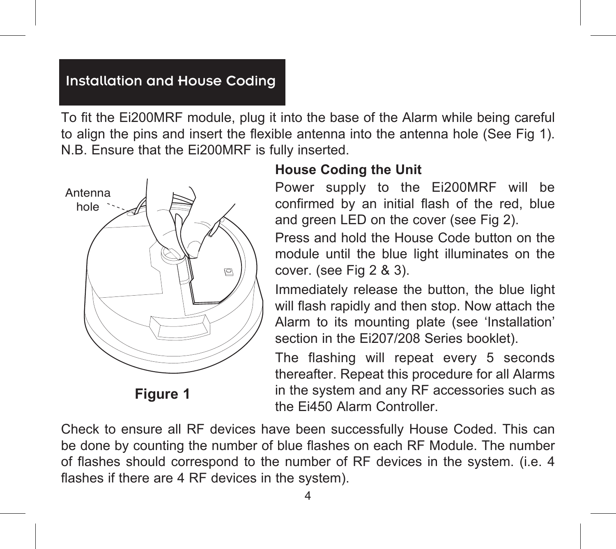#### Installation and House Coding

To fit the Ei200MRF module, plug it into the base of the Alarm while being careful to align the pins and insert the flexible antenna into the antenna hole (See Fig 1). N.B. Ensure that the Ei200MRF is fully inserted.



**Figure 1**

#### **House Coding the Unit**

Power supply to the Ei200MRF will be confirmed by an initial flash of the red, blue and green LED on the cover (see Fig 2).

Press and hold the House Code button on the module until the blue light illuminates on the cover. (see Fig 2 & 3).

Immediately release the button, the blue light will flash rapidly and then stop. Now attach the Alarm to its mounting plate (see 'Installation' section in the Ei207/208 Series booklet).

The flashing will repeat every 5 seconds thereafter. Repeat this procedure for all Alarms in the system and any RF accessories such as the Ei450 Alarm Controller.

Check to ensure all RF devices have been successfully House Coded. This can be done by counting the number of blue flashes on each RF Module. The number of flashes should correspond to the number of RF devices in the system. (i.e. 4 flashes if there are 4 RF devices in the system).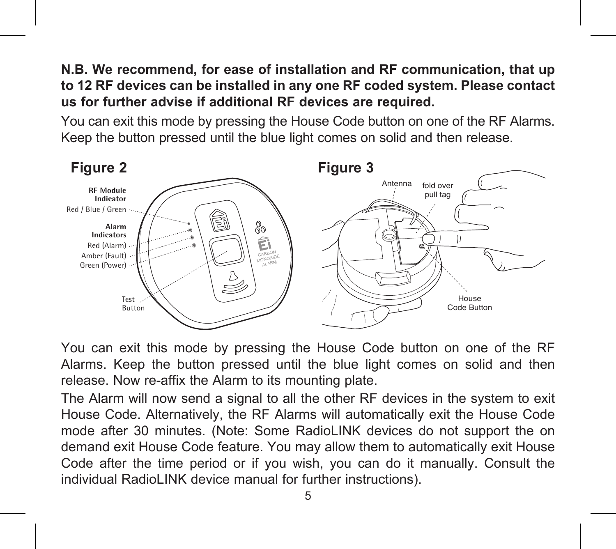**N.B. We recommend, for ease of installation and RF communication, that up to 12 RF devices can be installed in any one RF coded system. Please contact us for further advise if additional RF devices are required.**

You can exit this mode by pressing the House Code button on one of the RF Alarms. Keep the button pressed until the blue light comes on solid and then release.



You can exit this mode by pressing the House Code button on one of the RF Alarms. Keep the button pressed until the blue light comes on solid and then release. Now re-affix the Alarm to its mounting plate.

The Alarm will now send a signal to all the other RF devices in the system to exit House Code. Alternatively, the RF Alarms will automatically exit the House Code mode after 30 minutes. (Note: Some RadioLINK devices do not support the on demand exit House Code feature. You may allow them to automatically exit House Code after the time period or if you wish, you can do it manually. Consult the individual RadioLINK device manual for further instructions).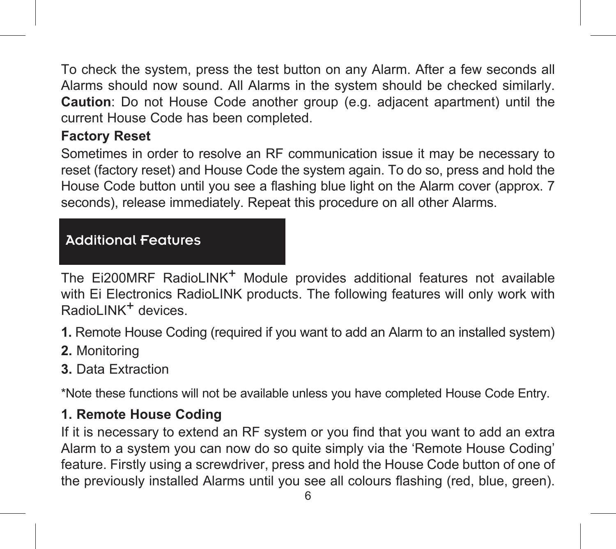To check the system, press the test button on any Alarm. After a few seconds all Alarms should now sound. All Alarms in the system should be checked similarly. **Caution**: Do not House Code another group (e.g. adjacent apartment) until the current House Code has been completed.

## **Factory Reset**

Sometimes in order to resolve an RF communication issue it may be necessary to reset (factory reset) and House Code the system again. To do so, press and hold the House Code button until you see a flashing blue light on the Alarm cover (approx. 7 seconds), release immediately. Repeat this procedure on all other Alarms.

#### Additional Features

The Ei200MRF RadioLINK<sup>+</sup> Module provides additional features not available with Ei Electronics RadioLINK products. The following features will only work with RadioLINK<sup>+</sup> devices

**1.** Remote House Coding (required if you want to add an Alarm to an installed system)

- **2.** Monitoring
- **3.** Data Extraction

\*Note these functions will not be available unless you have completed House Code Entry.

#### **1. Remote House Coding**

If it is necessary to extend an RF system or you find that you want to add an extra Alarm to a system you can now do so quite simply via the 'Remote House Coding' feature. Firstly using a screwdriver, press and hold the House Code button of one of the previously installed Alarms until you see all colours flashing (red, blue, green).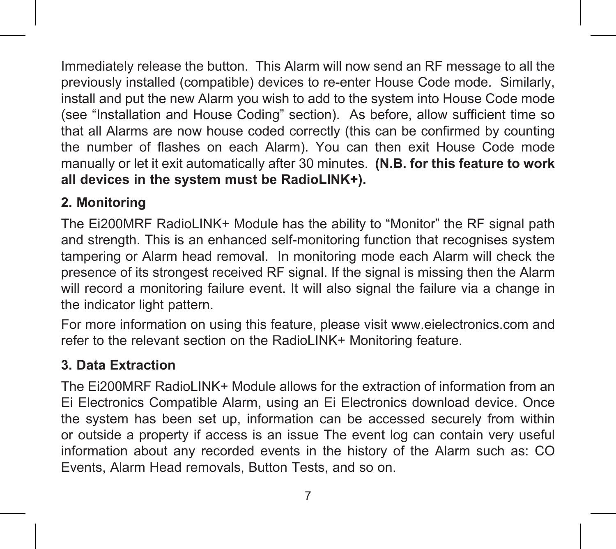Immediately release the button. This Alarm will now send an RF message to all the previously installed (compatible) devices to re-enter House Code mode. Similarly, install and put the new Alarm you wish to add to the system into House Code mode (see "Installation and House Coding" section). As before, allow sufficient time so that all Alarms are now house coded correctly (this can be confirmed by counting the number of flashes on each Alarm). You can then exit House Code mode manually or let it exit automatically after 30 minutes. **(N.B. for this feature to work all devices in the system must be RadioLINK+).**

## **2. Monitoring**

The Ei200MRF RadioLINK+ Module has the ability to "Monitor" the RF signal path and strength. This is an enhanced self-monitoring function that recognises system tampering or Alarm head removal. In monitoring mode each Alarm will check the presence of its strongest received RF signal. If the signal is missing then the Alarm will record a monitoring failure event. It will also signal the failure via a change in the indicator light pattern.

For more information on using this feature, please visit www.eielectronics.com and refer to the relevant section on the RadioLINK+ Monitoring feature.

# **3. Data Extraction**

The Ei200MRF RadioLINK+ Module allows for the extraction of information from an Ei Electronics Compatible Alarm, using an Ei Electronics download device. Once the system has been set up, information can be accessed securely from within or outside a property if access is an issue The event log can contain very useful information about any recorded events in the history of the Alarm such as: CO Events, Alarm Head removals, Button Tests, and so on.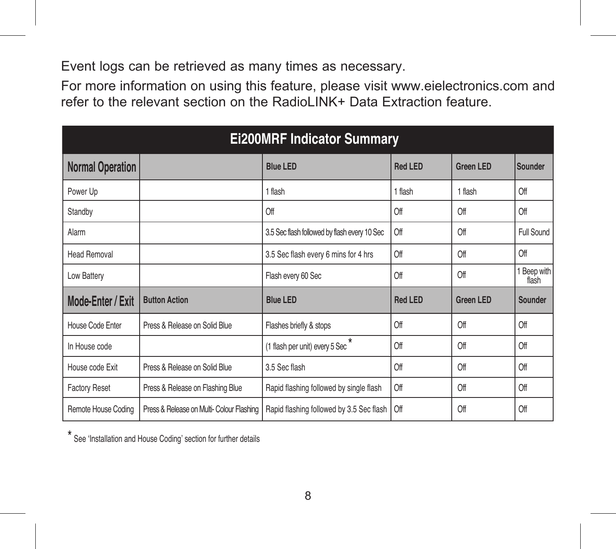Event logs can be retrieved as many times as necessary.

For more information on using this feature, please visit www.eielectronics.com and refer to the relevant section on the RadioLINK+ Data Extraction feature.

| <b>Ei200MRF Indicator Summary</b> |                                           |                                              |                |                  |                      |  |
|-----------------------------------|-------------------------------------------|----------------------------------------------|----------------|------------------|----------------------|--|
| <b>Normal Operation</b>           |                                           | <b>Blue LED</b>                              | <b>Red LED</b> | <b>Green LED</b> | Sounder              |  |
| Power Up                          |                                           | 1 flash                                      | 1 flash        | 1 flash          | Off                  |  |
| Standby                           |                                           | Off                                          | Off            | Off              | Off                  |  |
| Alarm                             |                                           | 3.5 Sec flash followed by flash every 10 Sec | Off            | Off              | Full Sound           |  |
| <b>Head Removal</b>               |                                           | 3.5 Sec flash every 6 mins for 4 hrs         | Off            | Off              | Off                  |  |
| Low Battery                       |                                           | Flash every 60 Sec                           | Off            | Off              | 1 Beep with<br>flash |  |
| Mode-Enter / Exit                 | <b>Button Action</b>                      | <b>Blue I FD</b>                             | Red I FD       | <b>Green LED</b> | Sounder              |  |
| House Code Enter                  | Press & Release on Solid Blue             | Flashes briefly & stops                      | Off            | Off              | Off                  |  |
| In House code                     |                                           | (1 flash per unit) every 5 Sec               | Off            | Off              | Off                  |  |
| House code Exit                   | Press & Release on Solid Blue             | 3.5 Sec flash                                | Off            | Off              | Off                  |  |
| <b>Factory Reset</b>              | Press & Release on Flashing Blue          | Rapid flashing followed by single flash      | Off            | Off              | Off                  |  |
| Remote House Coding               | Press & Release on Multi- Colour Flashing | Rapid flashing followed by 3.5 Sec flash     | Off            | Off              | Off                  |  |

\* See 'Installation and House Coding' section for further details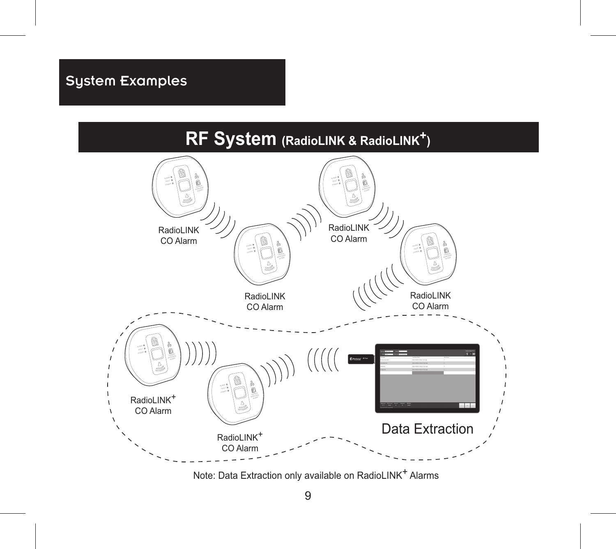# System Examples



Note: Data Extraction only available on RadioLINK+ Alarms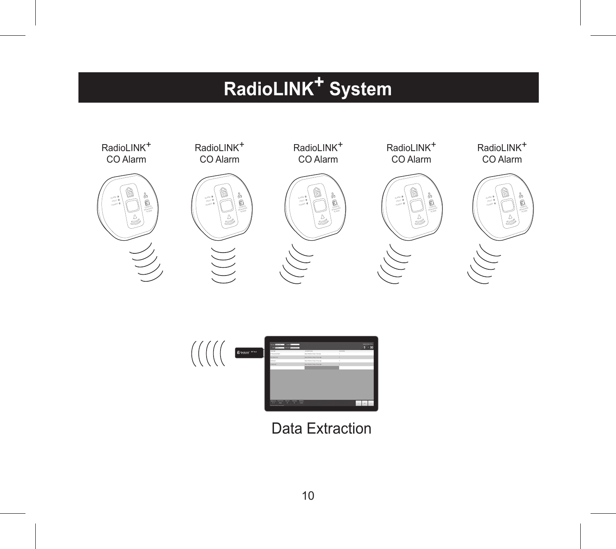# **RadioLINK+ System**





# Data Extraction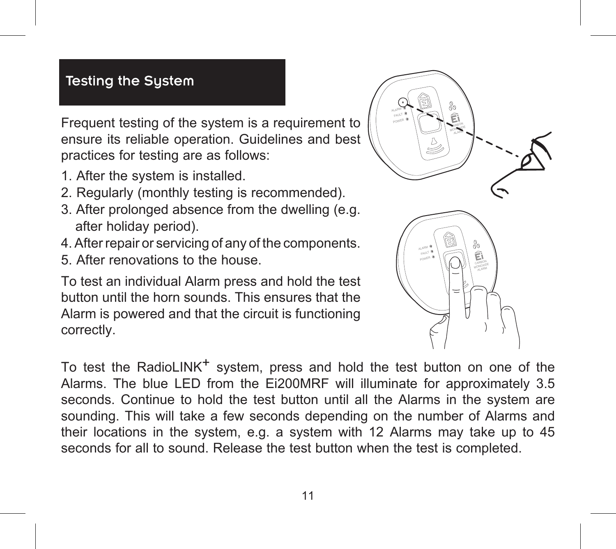## Testing the System

Frequent testing of the system is a requirement to ensure its reliable operation. Guidelines and best practices for testing are as follows:

- 1. After the system is installed.
- 2. Regularly (monthly testing is recommended).
- 3. After prolonged absence from the dwelling (e.g. after holiday period).
- 4. After repair or servicing of any of the components.
- 5. After renovations to the house.

To test an individual Alarm press and hold the test button until the horn sounds. This ensures that the Alarm is powered and that the circuit is functioning correctly.



To test the RadioLINK<sup>+</sup> system, press and hold the test button on one of the Alarms. The blue LED from the Ei200MRF will illuminate for approximately 3.5 seconds. Continue to hold the test button until all the Alarms in the system are sounding. This will take a few seconds depending on the number of Alarms and their locations in the system, e.g. a system with 12 Alarms may take up to 45 seconds for all to sound. Release the test button when the test is completed.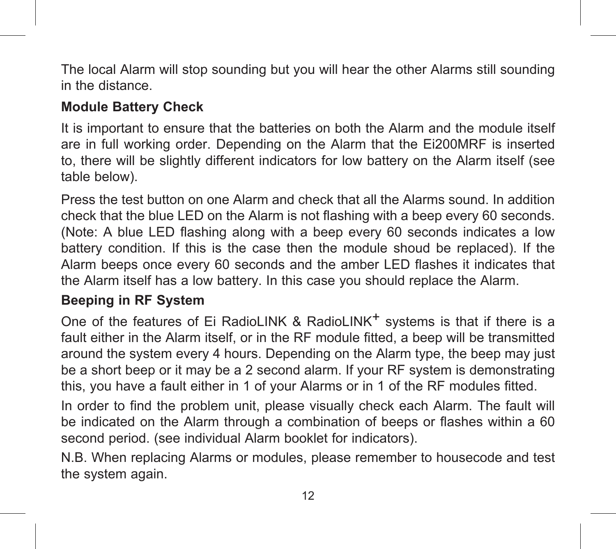The local Alarm will stop sounding but you will hear the other Alarms still sounding in the distance.

## **Module Battery Check**

It is important to ensure that the batteries on both the Alarm and the module itself are in full working order. Depending on the Alarm that the Ei200MRF is inserted to, there will be slightly different indicators for low battery on the Alarm itself (see table below).

Press the test button on one Alarm and check that all the Alarms sound. In addition check that the blue LED on the Alarm is not flashing with a beep every 60 seconds. (Note: A blue LED flashing along with a beep every 60 seconds indicates a low battery condition. If this is the case then the module shoud be replaced). If the Alarm beeps once every 60 seconds and the amber LED flashes it indicates that the Alarm itself has a low battery. In this case you should replace the Alarm.

#### **Beeping in RF System**

One of the features of Ei RadioLINK & RadioLINK<sup>+</sup> systems is that if there is a fault either in the Alarm itself, or in the RF module fitted, a beep will be transmitted around the system every 4 hours. Depending on the Alarm type, the beep may just be a short beep or it may be a 2 second alarm. If your RF system is demonstrating this, you have a fault either in 1 of your Alarms or in 1 of the RF modules fitted.

In order to find the problem unit, please visually check each Alarm. The fault will be indicated on the Alarm through a combination of beeps or flashes within a 60 second period. (see individual Alarm booklet for indicators).

N.B. When replacing Alarms or modules, please remember to housecode and test the system again.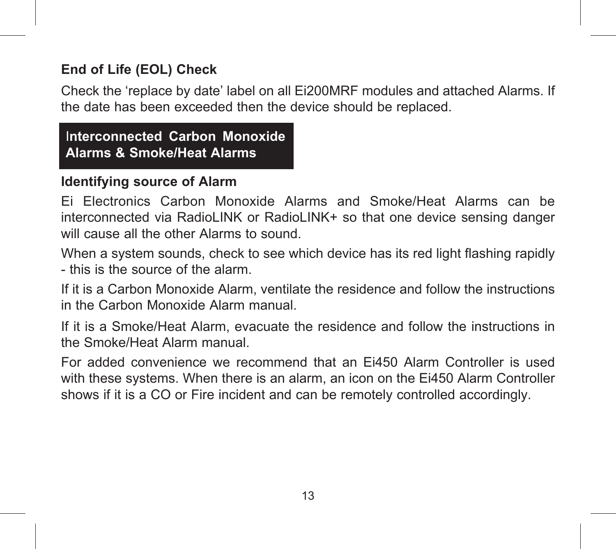## **End of Life (EOL) Check**

Check the 'replace by date' label on all Ei200MRF modules and attached Alarms. If the date has been exceeded then the device should be replaced.

I**nterconnected Carbon Monoxide Alarms & Smoke/Heat Alarms**

#### **Identifying source of Alarm**

Ei Electronics Carbon Monoxide Alarms and Smoke/Heat Alarms can be interconnected via RadioLINK or RadioLINK+ so that one device sensing danger will cause all the other Alarms to sound.

When a system sounds, check to see which device has its red light flashing rapidly - this is the source of the alarm.

If it is a Carbon Monoxide Alarm, ventilate the residence and follow the instructions in the Carbon Monoxide Alarm manual.

If it is a Smoke/Heat Alarm, evacuate the residence and follow the instructions in the Smoke/Heat Alarm manual.

For added convenience we recommend that an Ei450 Alarm Controller is used with these systems. When there is an alarm, an icon on the Ei450 Alarm Controller shows if it is a CO or Fire incident and can be remotely controlled accordingly.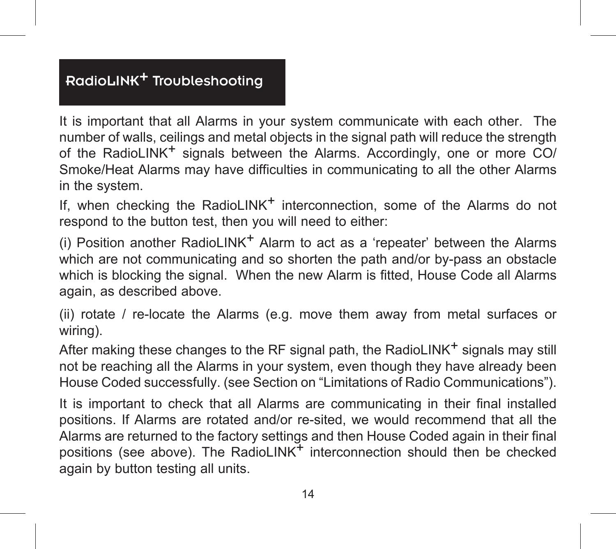# RadioLINK+ Troubleshooting

It is important that all Alarms in your system communicate with each other. The number of walls, ceilings and metal objects in the signal path will reduce the strength of the RadioLINK<sup>+</sup> signals between the Alarms. Accordingly, one or more CO/ Smoke/Heat Alarms may have difficulties in communicating to all the other Alarms in the system.

If, when checking the RadioLINK<sup>+</sup> interconnection, some of the Alarms do not respond to the button test, then you will need to either:

(i) Position another RadioLINK<sup>+</sup> Alarm to act as a 'repeater' between the Alarms which are not communicating and so shorten the path and/or by-pass an obstacle which is blocking the signal. When the new Alarm is fitted, House Code all Alarms again, as described above.

(ii) rotate / re-locate the Alarms (e.g. move them away from metal surfaces or wiring).

After making these changes to the RF signal path, the RadioLINK<sup>+</sup> signals may still not be reaching all the Alarms in your system, even though they have already been House Coded successfully. (see Section on "Limitations of Radio Communications").

It is important to check that all Alarms are communicating in their final installed positions. If Alarms are rotated and/or re-sited, we would recommend that all the Alarms are returned to the factory settings and then House Coded again in their final positions (see above). The RadioLINK<sup>+</sup> interconnection should then be checked again by button testing all units.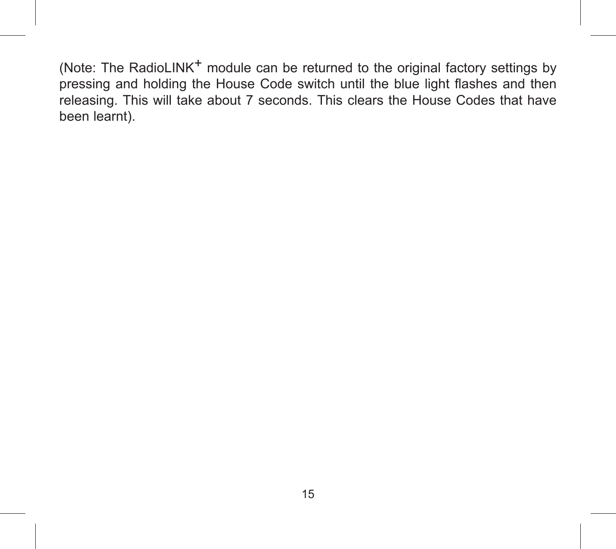(Note: The RadioLINK<sup>+</sup> module can be returned to the original factory settings by pressing and holding the House Code switch until the blue light flashes and then releasing. This will take about 7 seconds. This clears the House Codes that have been learnt).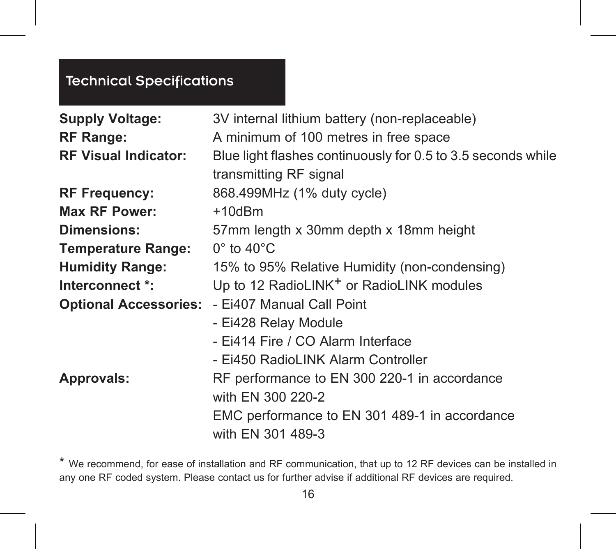# Technical Specifications

| <b>Supply Voltage:</b><br><b>RF Range:</b><br><b>RF Visual Indicator:</b> | 3V internal lithium battery (non-replaceable)<br>A minimum of 100 metres in free space<br>Blue light flashes continuously for 0.5 to 3.5 seconds while<br>transmitting RF signal |
|---------------------------------------------------------------------------|----------------------------------------------------------------------------------------------------------------------------------------------------------------------------------|
| <b>RF Frequency:</b>                                                      | 868.499MHz (1% duty cycle)                                                                                                                                                       |
| Max RF Power:                                                             | $+10$ d $Bm$                                                                                                                                                                     |
| Dimensions:                                                               | 57mm length x 30mm depth x 18mm height                                                                                                                                           |
| <b>Temperature Range:</b>                                                 | $0^\circ$ to 40 $^\circ$ C                                                                                                                                                       |
| <b>Humidity Range:</b>                                                    | 15% to 95% Relative Humidity (non-condensing)                                                                                                                                    |
| Interconnect *:                                                           | Up to 12 RadioLINK <sup>+</sup> or RadioLINK modules                                                                                                                             |
|                                                                           | Optional Accessories: - Ei407 Manual Call Point                                                                                                                                  |
|                                                                           | - Ei428 Relay Module                                                                                                                                                             |
|                                                                           | - Ei414 Fire / CO Alarm Interface                                                                                                                                                |
|                                                                           | - Ei450 RadioLINK Alarm Controller                                                                                                                                               |
| Approvals:                                                                | RF performance to EN 300 220-1 in accordance                                                                                                                                     |
|                                                                           | with EN 300 220-2                                                                                                                                                                |
|                                                                           | EMC performance to EN 301 489-1 in accordance                                                                                                                                    |
|                                                                           | with EN 301 489-3                                                                                                                                                                |

\* We recommend, for ease of installation and RF communication, that up to 12 RF devices can be installed in any one RF coded system. Please contact us for further advise if additional RF devices are required.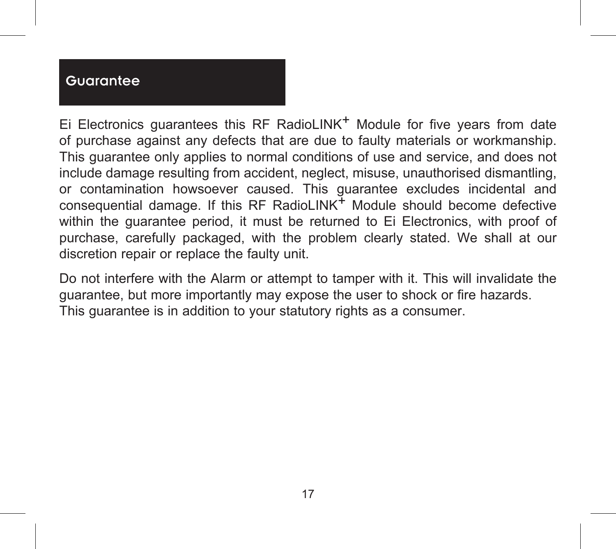#### **Guarantee**

Ei Electronics quarantees this RF RadioLINK<sup>+</sup> Module for five years from date of purchase against any defects that are due to faulty materials or workmanship. This guarantee only applies to normal conditions of use and service, and does not include damage resulting from accident, neglect, misuse, unauthorised dismantling, or contamination howsoever caused. This guarantee excludes incidental and consequential damage. If this RF RadioLINK $<sup>+</sup>$  Module should become defective</sup> within the guarantee period, it must be returned to Ei Electronics, with proof of purchase, carefully packaged, with the problem clearly stated. We shall at our discretion repair or replace the faulty unit.

Do not interfere with the Alarm or attempt to tamper with it. This will invalidate the guarantee, but more importantly may expose the user to shock or fire hazards. This guarantee is in addition to your statutory rights as a consumer.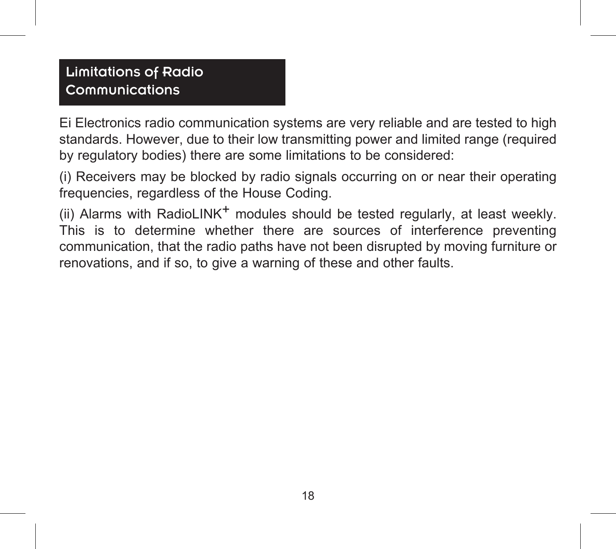# Limitations of Radio Communications

Ei Electronics radio communication systems are very reliable and are tested to high standards. However, due to their low transmitting power and limited range (required by regulatory bodies) there are some limitations to be considered:

(i) Receivers may be blocked by radio signals occurring on or near their operating frequencies, regardless of the House Coding.

(ii) Alarms with RadioLINK<sup>+</sup> modules should be tested regularly, at least weekly. This is to determine whether there are sources of interference preventing communication, that the radio paths have not been disrupted by moving furniture or renovations, and if so, to give a warning of these and other faults.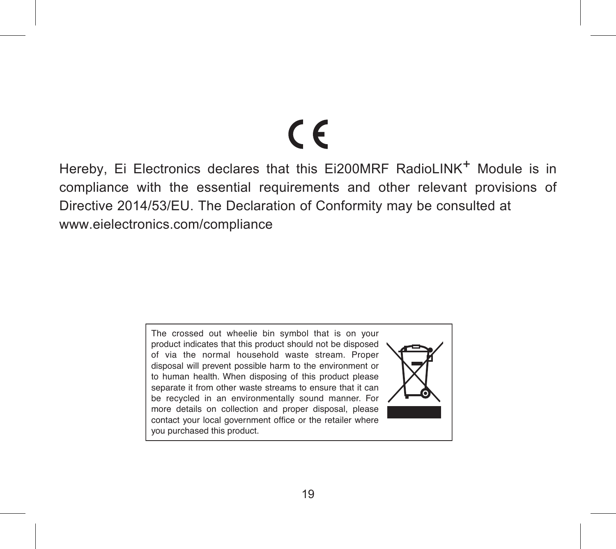# $\epsilon$

Hereby, Ei Electronics declares that this Ei200MRF RadioLINK<sup>+</sup> Module is in compliance with the essential requirements and other relevant provisions of Directive 2014/53/EU. The Declaration of Conformity may be consulted at www.eielectronics.com/compliance

> The crossed out wheelie bin symbol that is on your product indicates that this product should not be disposed of via the normal household waste stream. Proper disposal will prevent possible harm to the environment or to human health. When disposing of this product please separate it from other waste streams to ensure that it can be recycled in an environmentally sound manner. For more details on collection and proper disposal, please contact your local government office or the retailer where you purchased this product.